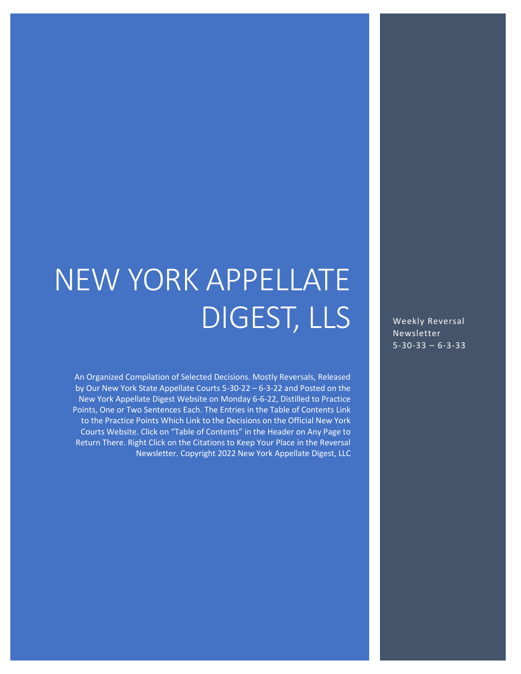# NEW YORK APPELLATE DIGEST, LLS

An Organized Compilation of Selected Decisions. Mostly Reversals, Released by Our New York State Appellate Courts 5-30-22 – 6-3-22 and Posted on the New York Appellate Digest Website on Monday 6-6-22, Distilled to Practice Points, One or Two Sentences Each. The Entries in the Table of Contents Link to the Practice Points Which Link to the Decisions on the Official New York Courts Website. Click on "Table of Contents" in the Header on Any Page to Return There. Right Click on the Citations to Keep Your Place in the Reversal Newsletter. Copyright 2022 New York Appellate Digest, LLC

Weekly Reversal Newsletter 5-30-33 – 6-3-33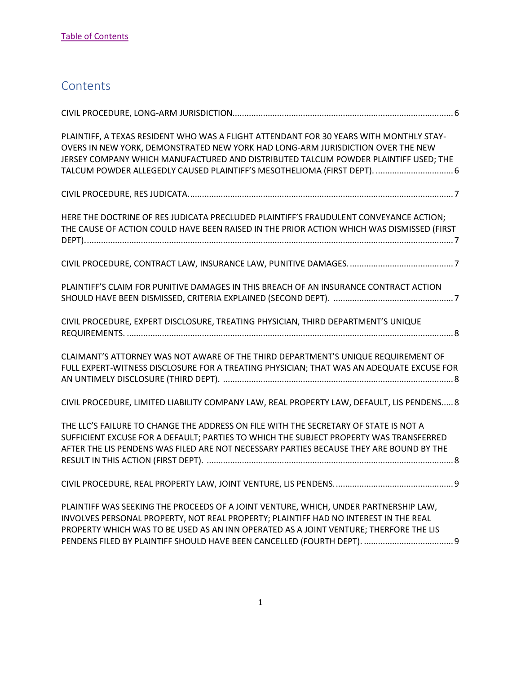# <span id="page-1-0"></span>**Contents**

| PLAINTIFF, A TEXAS RESIDENT WHO WAS A FLIGHT ATTENDANT FOR 30 YEARS WITH MONTHLY STAY-<br>OVERS IN NEW YORK, DEMONSTRATED NEW YORK HAD LONG-ARM JURISDICTION OVER THE NEW<br>JERSEY COMPANY WHICH MANUFACTURED AND DISTRIBUTED TALCUM POWDER PLAINTIFF USED; THE<br>TALCUM POWDER ALLEGEDLY CAUSED PLAINTIFF'S MESOTHELIOMA (FIRST DEPT).  6 |
|----------------------------------------------------------------------------------------------------------------------------------------------------------------------------------------------------------------------------------------------------------------------------------------------------------------------------------------------|
|                                                                                                                                                                                                                                                                                                                                              |
| HERE THE DOCTRINE OF RES JUDICATA PRECLUDED PLAINTIFF'S FRAUDULENT CONVEYANCE ACTION;<br>THE CAUSE OF ACTION COULD HAVE BEEN RAISED IN THE PRIOR ACTION WHICH WAS DISMISSED (FIRST                                                                                                                                                           |
|                                                                                                                                                                                                                                                                                                                                              |
| PLAINTIFF'S CLAIM FOR PUNITIVE DAMAGES IN THIS BREACH OF AN INSURANCE CONTRACT ACTION                                                                                                                                                                                                                                                        |
| CIVIL PROCEDURE, EXPERT DISCLOSURE, TREATING PHYSICIAN, THIRD DEPARTMENT'S UNIQUE                                                                                                                                                                                                                                                            |
| CLAIMANT'S ATTORNEY WAS NOT AWARE OF THE THIRD DEPARTMENT'S UNIQUE REQUIREMENT OF<br>FULL EXPERT-WITNESS DISCLOSURE FOR A TREATING PHYSICIAN; THAT WAS AN ADEQUATE EXCUSE FOR                                                                                                                                                                |
| CIVIL PROCEDURE, LIMITED LIABILITY COMPANY LAW, REAL PROPERTY LAW, DEFAULT, LIS PENDENS 8                                                                                                                                                                                                                                                    |
| THE LLC'S FAILURE TO CHANGE THE ADDRESS ON FILE WITH THE SECRETARY OF STATE IS NOT A<br>SUFFICIENT EXCUSE FOR A DEFAULT; PARTIES TO WHICH THE SUBJECT PROPERTY WAS TRANSFERRED<br>AFTER THE LIS PENDENS WAS FILED ARE NOT NECESSARY PARTIES BECAUSE THEY ARE BOUND BY THE                                                                    |
|                                                                                                                                                                                                                                                                                                                                              |
| PLAINTIFF WAS SEEKING THE PROCEEDS OF A JOINT VENTURE, WHICH, UNDER PARTNERSHIP LAW,<br>INVOLVES PERSONAL PROPERTY, NOT REAL PROPERTY; PLAINTIFF HAD NO INTEREST IN THE REAL<br>PROPERTY WHICH WAS TO BE USED AS AN INN OPERATED AS A JOINT VENTURE; THERFORE THE LIS                                                                        |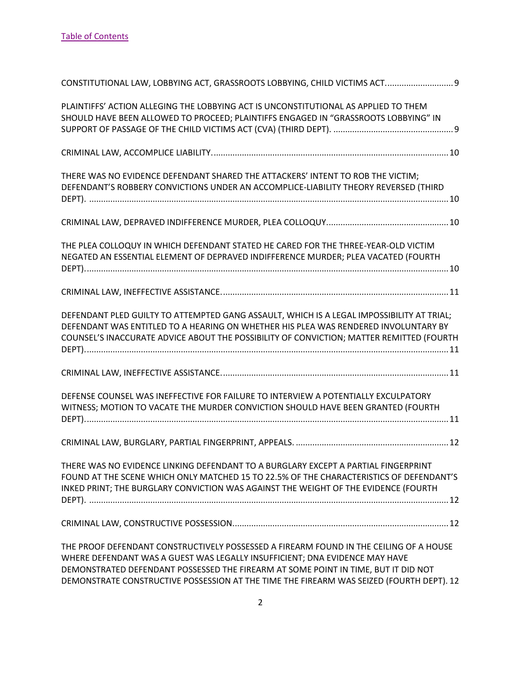| CONSTITUTIONAL LAW, LOBBYING ACT, GRASSROOTS LOBBYING, CHILD VICTIMS ACT 9                                                                                                                                                                                                                                                                              |
|---------------------------------------------------------------------------------------------------------------------------------------------------------------------------------------------------------------------------------------------------------------------------------------------------------------------------------------------------------|
| PLAINTIFFS' ACTION ALLEGING THE LOBBYING ACT IS UNCONSTITUTIONAL AS APPLIED TO THEM<br>SHOULD HAVE BEEN ALLOWED TO PROCEED; PLAINTIFFS ENGAGED IN "GRASSROOTS LOBBYING" IN                                                                                                                                                                              |
|                                                                                                                                                                                                                                                                                                                                                         |
| THERE WAS NO EVIDENCE DEFENDANT SHARED THE ATTACKERS' INTENT TO ROB THE VICTIM;<br>DEFENDANT'S ROBBERY CONVICTIONS UNDER AN ACCOMPLICE-LIABILITY THEORY REVERSED (THIRD                                                                                                                                                                                 |
|                                                                                                                                                                                                                                                                                                                                                         |
| THE PLEA COLLOQUY IN WHICH DEFENDANT STATED HE CARED FOR THE THREE-YEAR-OLD VICTIM<br>NEGATED AN ESSENTIAL ELEMENT OF DEPRAVED INDIFFERENCE MURDER; PLEA VACATED (FOURTH                                                                                                                                                                                |
|                                                                                                                                                                                                                                                                                                                                                         |
| DEFENDANT PLED GUILTY TO ATTEMPTED GANG ASSAULT, WHICH IS A LEGAL IMPOSSIBILITY AT TRIAL;<br>DEFENDANT WAS ENTITLED TO A HEARING ON WHETHER HIS PLEA WAS RENDERED INVOLUNTARY BY<br>COUNSEL'S INACCURATE ADVICE ABOUT THE POSSIBILITY OF CONVICTION; MATTER REMITTED (FOURTH                                                                            |
|                                                                                                                                                                                                                                                                                                                                                         |
| DEFENSE COUNSEL WAS INEFFECTIVE FOR FAILURE TO INTERVIEW A POTENTIALLY EXCULPATORY<br>WITNESS; MOTION TO VACATE THE MURDER CONVICTION SHOULD HAVE BEEN GRANTED (FOURTH                                                                                                                                                                                  |
|                                                                                                                                                                                                                                                                                                                                                         |
| THERE WAS NO EVIDENCE LINKING DEFENDANT TO A BURGLARY EXCEPT A PARTIAL FINGERPRINT<br>FOUND AT THE SCENE WHICH ONLY MATCHED 15 TO 22.5% OF THE CHARACTERISTICS OF DEFENDANT'S<br>INKED PRINT; THE BURGLARY CONVICTION WAS AGAINST THE WEIGHT OF THE EVIDENCE (FOURTH                                                                                    |
|                                                                                                                                                                                                                                                                                                                                                         |
| THE PROOF DEFENDANT CONSTRUCTIVELY POSSESSED A FIREARM FOUND IN THE CEILING OF A HOUSE<br>WHERE DEFENDANT WAS A GUEST WAS LEGALLY INSUFFICIENT; DNA EVIDENCE MAY HAVE<br>DEMONSTRATED DEFENDANT POSSESSED THE FIREARM AT SOME POINT IN TIME, BUT IT DID NOT<br>DEMONSTRATE CONSTRUCTIVE POSSESSION AT THE TIME THE FIREARM WAS SEIZED (FOURTH DEPT). 12 |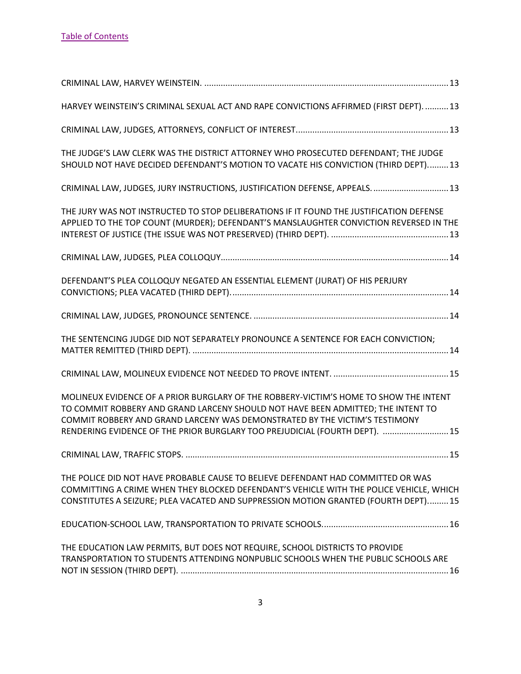| HARVEY WEINSTEIN'S CRIMINAL SEXUAL ACT AND RAPE CONVICTIONS AFFIRMED (FIRST DEPT).  13                                                                                                                                                                                                                                                  |
|-----------------------------------------------------------------------------------------------------------------------------------------------------------------------------------------------------------------------------------------------------------------------------------------------------------------------------------------|
|                                                                                                                                                                                                                                                                                                                                         |
| THE JUDGE'S LAW CLERK WAS THE DISTRICT ATTORNEY WHO PROSECUTED DEFENDANT; THE JUDGE<br>SHOULD NOT HAVE DECIDED DEFENDANT'S MOTION TO VACATE HIS CONVICTION (THIRD DEPT) 13                                                                                                                                                              |
| CRIMINAL LAW, JUDGES, JURY INSTRUCTIONS, JUSTIFICATION DEFENSE, APPEALS.  13                                                                                                                                                                                                                                                            |
| THE JURY WAS NOT INSTRUCTED TO STOP DELIBERATIONS IF IT FOUND THE JUSTIFICATION DEFENSE<br>APPLIED TO THE TOP COUNT (MURDER); DEFENDANT'S MANSLAUGHTER CONVICTION REVERSED IN THE                                                                                                                                                       |
|                                                                                                                                                                                                                                                                                                                                         |
| DEFENDANT'S PLEA COLLOQUY NEGATED AN ESSENTIAL ELEMENT (JURAT) OF HIS PERJURY                                                                                                                                                                                                                                                           |
|                                                                                                                                                                                                                                                                                                                                         |
| THE SENTENCING JUDGE DID NOT SEPARATELY PRONOUNCE A SENTENCE FOR EACH CONVICTION;                                                                                                                                                                                                                                                       |
|                                                                                                                                                                                                                                                                                                                                         |
| MOLINEUX EVIDENCE OF A PRIOR BURGLARY OF THE ROBBERY-VICTIM'S HOME TO SHOW THE INTENT<br>TO COMMIT ROBBERY AND GRAND LARCENY SHOULD NOT HAVE BEEN ADMITTED; THE INTENT TO<br>COMMIT ROBBERY AND GRAND LARCENY WAS DEMONSTRATED BY THE VICTIM'S TESTIMONY<br>RENDERING EVIDENCE OF THE PRIOR BURGLARY TOO PREJUDICIAL (FOURTH DEPT).  15 |
|                                                                                                                                                                                                                                                                                                                                         |
| THE POLICE DID NOT HAVE PROBABLE CAUSE TO BELIEVE DEFENDANT HAD COMMITTED OR WAS<br>COMMITTING A CRIME WHEN THEY BLOCKED DEFENDANT'S VEHICLE WITH THE POLICE VEHICLE, WHICH<br>CONSTITUTES A SEIZURE; PLEA VACATED AND SUPPRESSION MOTION GRANTED (FOURTH DEPT)15                                                                       |
|                                                                                                                                                                                                                                                                                                                                         |
| THE EDUCATION LAW PERMITS, BUT DOES NOT REQUIRE, SCHOOL DISTRICTS TO PROVIDE<br>TRANSPORTATION TO STUDENTS ATTENDING NONPUBLIC SCHOOLS WHEN THE PUBLIC SCHOOLS ARE                                                                                                                                                                      |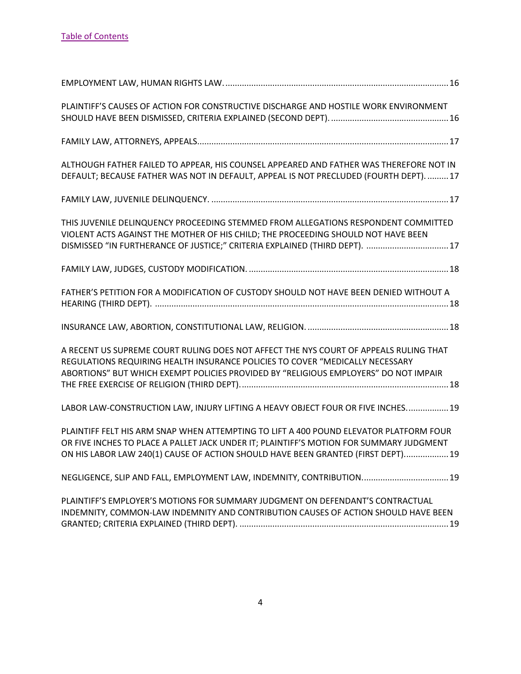| PLAINTIFF'S CAUSES OF ACTION FOR CONSTRUCTIVE DISCHARGE AND HOSTILE WORK ENVIRONMENT                                                                                                                                                                                  |
|-----------------------------------------------------------------------------------------------------------------------------------------------------------------------------------------------------------------------------------------------------------------------|
|                                                                                                                                                                                                                                                                       |
| ALTHOUGH FATHER FAILED TO APPEAR, HIS COUNSEL APPEARED AND FATHER WAS THEREFORE NOT IN<br>DEFAULT; BECAUSE FATHER WAS NOT IN DEFAULT, APPEAL IS NOT PRECLUDED (FOURTH DEPT) 17                                                                                        |
|                                                                                                                                                                                                                                                                       |
| THIS JUVENILE DELINQUENCY PROCEEDING STEMMED FROM ALLEGATIONS RESPONDENT COMMITTED<br>VIOLENT ACTS AGAINST THE MOTHER OF HIS CHILD; THE PROCEEDING SHOULD NOT HAVE BEEN<br>DISMISSED "IN FURTHERANCE OF JUSTICE;" CRITERIA EXPLAINED (THIRD DEPT). 17                 |
|                                                                                                                                                                                                                                                                       |
| FATHER'S PETITION FOR A MODIFICATION OF CUSTODY SHOULD NOT HAVE BEEN DENIED WITHOUT A                                                                                                                                                                                 |
|                                                                                                                                                                                                                                                                       |
| A RECENT US SUPREME COURT RULING DOES NOT AFFECT THE NYS COURT OF APPEALS RULING THAT<br>REGULATIONS REQUIRING HEALTH INSURANCE POLICIES TO COVER "MEDICALLY NECESSARY<br>ABORTIONS" BUT WHICH EXEMPT POLICIES PROVIDED BY "RELIGIOUS EMPLOYERS" DO NOT IMPAIR        |
| LABOR LAW-CONSTRUCTION LAW, INJURY LIFTING A HEAVY OBJECT FOUR OR FIVE INCHES 19                                                                                                                                                                                      |
| PLAINTIFF FELT HIS ARM SNAP WHEN ATTEMPTING TO LIFT A 400 POUND ELEVATOR PLATFORM FOUR<br>OR FIVE INCHES TO PLACE A PALLET JACK UNDER IT; PLAINTIFF'S MOTION FOR SUMMARY JUDGMENT<br>ON HIS LABOR LAW 240(1) CAUSE OF ACTION SHOULD HAVE BEEN GRANTED (FIRST DEPT) 19 |
| NEGLIGENCE, SLIP AND FALL, EMPLOYMENT LAW, INDEMNITY, CONTRIBUTION 19                                                                                                                                                                                                 |
| PLAINTIFF'S EMPLOYER'S MOTIONS FOR SUMMARY JUDGMENT ON DEFENDANT'S CONTRACTUAL<br>INDEMNITY, COMMON-LAW INDEMNITY AND CONTRIBUTION CAUSES OF ACTION SHOULD HAVE BEEN                                                                                                  |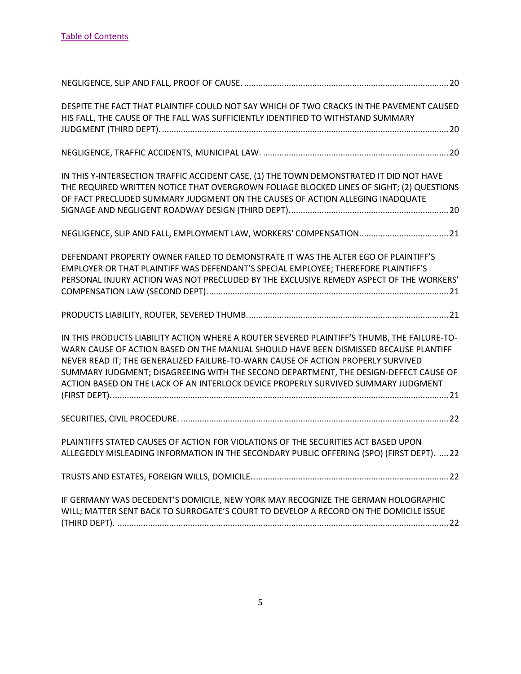| DESPITE THE FACT THAT PLAINTIFF COULD NOT SAY WHICH OF TWO CRACKS IN THE PAVEMENT CAUSED<br>HIS FALL, THE CAUSE OF THE FALL WAS SUFFICIENTLY IDENTIFIED TO WITHSTAND SUMMARY                                                                                                                                                                                                                                                                          |  |
|-------------------------------------------------------------------------------------------------------------------------------------------------------------------------------------------------------------------------------------------------------------------------------------------------------------------------------------------------------------------------------------------------------------------------------------------------------|--|
|                                                                                                                                                                                                                                                                                                                                                                                                                                                       |  |
| IN THIS Y-INTERSECTION TRAFFIC ACCIDENT CASE, (1) THE TOWN DEMONSTRATED IT DID NOT HAVE<br>THE REQUIRED WRITTEN NOTICE THAT OVERGROWN FOLIAGE BLOCKED LINES OF SIGHT; (2) QUESTIONS<br>OF FACT PRECLUDED SUMMARY JUDGMENT ON THE CAUSES OF ACTION ALLEGING INADQUATE                                                                                                                                                                                  |  |
| NEGLIGENCE, SLIP AND FALL, EMPLOYMENT LAW, WORKERS' COMPENSATION 21                                                                                                                                                                                                                                                                                                                                                                                   |  |
| DEFENDANT PROPERTY OWNER FAILED TO DEMONSTRATE IT WAS THE ALTER EGO OF PLAINTIFF'S<br>EMPLOYER OR THAT PLAINTIFF WAS DEFENDANT'S SPECIAL EMPLOYEE; THEREFORE PLAINTIFF'S<br>PERSONAL INJURY ACTION WAS NOT PRECLUDED BY THE EXCLUSIVE REMEDY ASPECT OF THE WORKERS'                                                                                                                                                                                   |  |
|                                                                                                                                                                                                                                                                                                                                                                                                                                                       |  |
| IN THIS PRODUCTS LIABILITY ACTION WHERE A ROUTER SEVERED PLAINTIFF'S THUMB, THE FAILURE-TO-<br>WARN CAUSE OF ACTION BASED ON THE MANUAL SHOULD HAVE BEEN DISMISSED BECAUSE PLANTIFF<br>NEVER READ IT; THE GENERALIZED FAILURE-TO-WARN CAUSE OF ACTION PROPERLY SURVIVED<br>SUMMARY JUDGMENT; DISAGREEING WITH THE SECOND DEPARTMENT, THE DESIGN-DEFECT CAUSE OF<br>ACTION BASED ON THE LACK OF AN INTERLOCK DEVICE PROPERLY SURVIVED SUMMARY JUDGMENT |  |
|                                                                                                                                                                                                                                                                                                                                                                                                                                                       |  |
| PLAINTIFFS STATED CAUSES OF ACTION FOR VIOLATIONS OF THE SECURITIES ACT BASED UPON<br>ALLEGEDLY MISLEADING INFORMATION IN THE SECONDARY PUBLIC OFFERING (SPO) (FIRST DEPT).  22                                                                                                                                                                                                                                                                       |  |
|                                                                                                                                                                                                                                                                                                                                                                                                                                                       |  |
| IF GERMANY WAS DECEDENT'S DOMICILE, NEW YORK MAY RECOGNIZE THE GERMAN HOLOGRAPHIC<br>WILL; MATTER SENT BACK TO SURROGATE'S COURT TO DEVELOP A RECORD ON THE DOMICILE ISSUE                                                                                                                                                                                                                                                                            |  |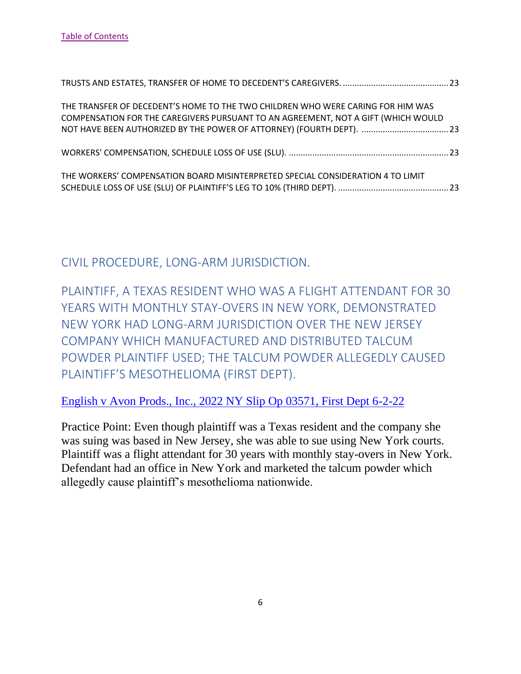| THE TRANSFER OF DECEDENT'S HOME TO THE TWO CHILDREN WHO WERE CARING FOR HIM WAS<br>COMPENSATION FOR THE CAREGIVERS PURSUANT TO AN AGREEMENT, NOT A GIFT (WHICH WOULD |  |
|----------------------------------------------------------------------------------------------------------------------------------------------------------------------|--|
|                                                                                                                                                                      |  |
| THE WORKERS' COMPENSATION BOARD MISINTERPRETED SPECIAL CONSIDERATION 4 TO LIMIT                                                                                      |  |

<span id="page-6-0"></span>CIVIL PROCEDURE, LONG-ARM JURISDICTION.

<span id="page-6-1"></span>PLAINTIFF, A TEXAS RESIDENT WHO WAS A FLIGHT ATTENDANT FOR 30 YEARS WITH MONTHLY STAY-OVERS IN NEW YORK, DEMONSTRATED NEW YORK HAD LONG-ARM JURISDICTION OVER THE NEW JERSEY COMPANY WHICH MANUFACTURED AND DISTRIBUTED TALCUM POWDER PLAINTIFF USED; THE TALCUM POWDER ALLEGEDLY CAUSED PLAINTIFF'S MESOTHELIOMA (FIRST DEPT).

[English v Avon Prods., Inc., 2022 NY Slip Op 03571, First Dept 6-2-22](https://nycourts.gov/reporter/3dseries/2022/2022_03571.htm)

Practice Point: Even though plaintiff was a Texas resident and the company she was suing was based in New Jersey, she was able to sue using New York courts. Plaintiff was a flight attendant for 30 years with monthly stay-overs in New York. Defendant had an office in New York and marketed the talcum powder which allegedly cause plaintiff's mesothelioma nationwide.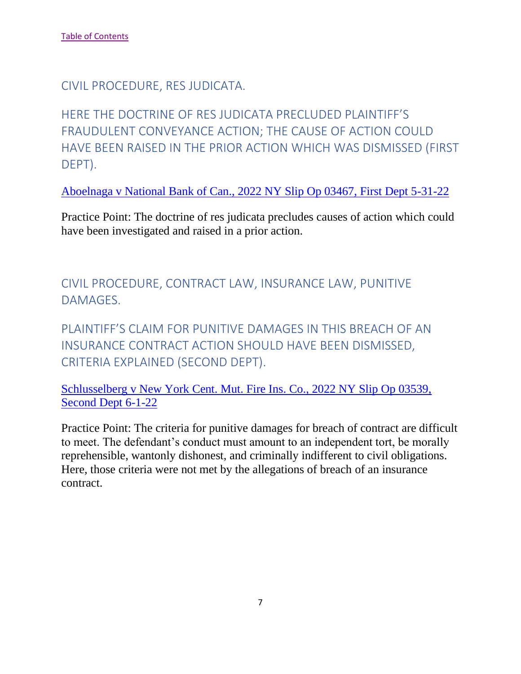<span id="page-7-0"></span>CIVIL PROCEDURE, RES JUDICATA.

<span id="page-7-1"></span>HERE THE DOCTRINE OF RES JUDICATA PRECLUDED PLAINTIFF'S FRAUDULENT CONVEYANCE ACTION; THE CAUSE OF ACTION COULD HAVE BEEN RAISED IN THE PRIOR ACTION WHICH WAS DISMISSED (FIRST DEPT).

[Aboelnaga v National Bank of Can., 2022 NY Slip Op 03467, First Dept 5-31-22](https://nycourts.gov/reporter/3dseries/2022/2022_03467.htm)

Practice Point: The doctrine of res judicata precludes causes of action which could have been investigated and raised in a prior action.

<span id="page-7-2"></span>CIVIL PROCEDURE, CONTRACT LAW, INSURANCE LAW, PUNITIVE DAMAGES.

<span id="page-7-3"></span>PLAINTIFF'S CLAIM FOR PUNITIVE DAMAGES IN THIS BREACH OF AN INSURANCE CONTRACT ACTION SHOULD HAVE BEEN DISMISSED, CRITERIA EXPLAINED (SECOND DEPT).

[Schlusselberg v New York Cent. Mut. Fire Ins. Co., 2022 NY Slip Op 03539,](https://nycourts.gov/reporter/3dseries/2022/2022_03539.htm)  [Second Dept 6-1-22](https://nycourts.gov/reporter/3dseries/2022/2022_03539.htm)

Practice Point: The criteria for punitive damages for breach of contract are difficult to meet. The defendant's conduct must amount to an independent tort, be morally reprehensible, wantonly dishonest, and criminally indifferent to civil obligations. Here, those criteria were not met by the allegations of breach of an insurance contract.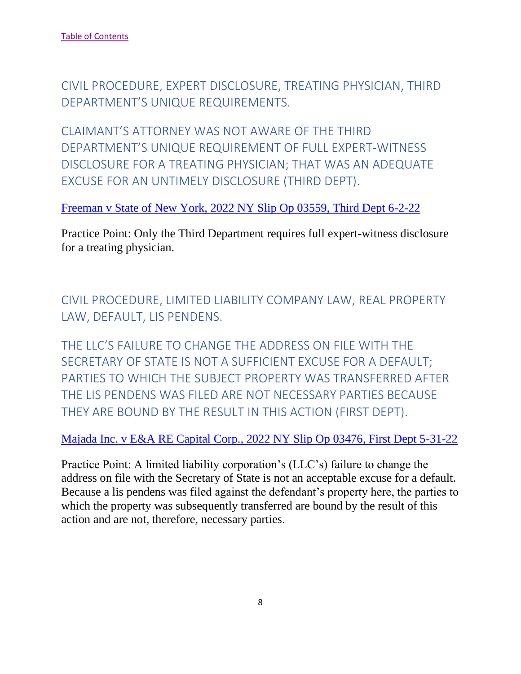<span id="page-8-0"></span>CIVIL PROCEDURE, EXPERT DISCLOSURE, TREATING PHYSICIAN, THIRD DEPARTMENT'S UNIQUE REQUIREMENTS.

<span id="page-8-1"></span>CLAIMANT'S ATTORNEY WAS NOT AWARE OF THE THIRD DEPARTMENT'S UNIQUE REQUIREMENT OF FULL EXPERT-WITNESS DISCLOSURE FOR A TREATING PHYSICIAN; THAT WAS AN ADEQUATE EXCUSE FOR AN UNTIMELY DISCLOSURE (THIRD DEPT).

[Freeman v State of New York, 2022 NY Slip Op 03559, Third Dept 6-2-22](https://nycourts.gov/reporter/3dseries/2022/2022_03559.htm)

Practice Point: Only the Third Department requires full expert-witness disclosure for a treating physician.

<span id="page-8-2"></span>CIVIL PROCEDURE, LIMITED LIABILITY COMPANY LAW, REAL PROPERTY LAW, DEFAULT, LIS PENDENS.

<span id="page-8-3"></span>THE LLC'S FAILURE TO CHANGE THE ADDRESS ON FILE WITH THE SECRETARY OF STATE IS NOT A SUFFICIENT EXCUSE FOR A DEFAULT; PARTIES TO WHICH THE SUBJECT PROPERTY WAS TRANSFERRED AFTER THE LIS PENDENS WAS FILED ARE NOT NECESSARY PARTIES BECAUSE THEY ARE BOUND BY THE RESULT IN THIS ACTION (FIRST DEPT).

[Majada Inc. v E&A RE Capital Corp., 2022 NY Slip Op 03476, First Dept 5-31-22](https://nycourts.gov/reporter/3dseries/2022/2022_03476.htm)

Practice Point: A limited liability corporation's (LLC's) failure to change the address on file with the Secretary of State is not an acceptable excuse for a default. Because a lis pendens was filed against the defendant's property here, the parties to which the property was subsequently transferred are bound by the result of this action and are not, therefore, necessary parties.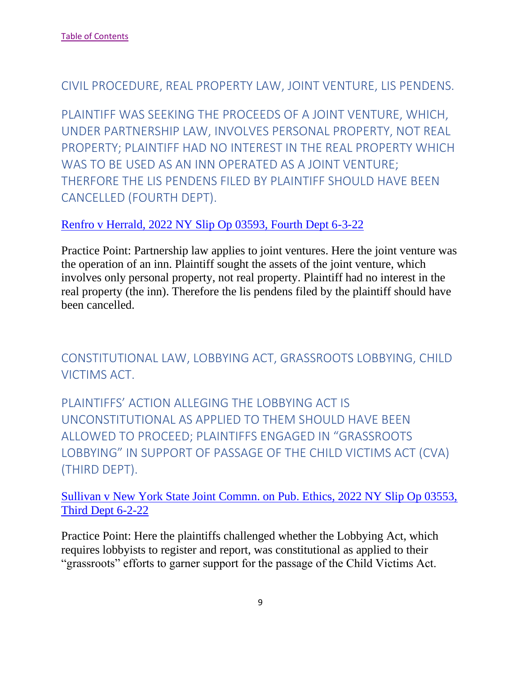#### <span id="page-9-0"></span>CIVIL PROCEDURE, REAL PROPERTY LAW, JOINT VENTURE, LIS PENDENS.

<span id="page-9-1"></span>PLAINTIFF WAS SEEKING THE PROCEEDS OF A JOINT VENTURE, WHICH, UNDER PARTNERSHIP LAW, INVOLVES PERSONAL PROPERTY, NOT REAL PROPERTY; PLAINTIFF HAD NO INTEREST IN THE REAL PROPERTY WHICH WAS TO BE USED AS AN INN OPERATED AS A JOINT VENTURE; THERFORE THE LIS PENDENS FILED BY PLAINTIFF SHOULD HAVE BEEN CANCELLED (FOURTH DEPT).

#### [Renfro v Herrald, 2022 NY Slip Op 03593, Fourth Dept 6-3-22](https://nycourts.gov/reporter/3dseries/2022/2022_03593.htm)

Practice Point: Partnership law applies to joint ventures. Here the joint venture was the operation of an inn. Plaintiff sought the assets of the joint venture, which involves only personal property, not real property. Plaintiff had no interest in the real property (the inn). Therefore the lis pendens filed by the plaintiff should have been cancelled.

<span id="page-9-2"></span>CONSTITUTIONAL LAW, LOBBYING ACT, GRASSROOTS LOBBYING, CHILD VICTIMS ACT.

<span id="page-9-3"></span>PLAINTIFFS' ACTION ALLEGING THE LOBBYING ACT IS UNCONSTITUTIONAL AS APPLIED TO THEM SHOULD HAVE BEEN ALLOWED TO PROCEED; PLAINTIFFS ENGAGED IN "GRASSROOTS LOBBYING" IN SUPPORT OF PASSAGE OF THE CHILD VICTIMS ACT (CVA) (THIRD DEPT).

[Sullivan v New York State Joint Commn. on Pub. Ethics, 2022 NY Slip Op 03553,](https://nycourts.gov/reporter/3dseries/2022/2022_03553.htm)  [Third Dept 6-2-22](https://nycourts.gov/reporter/3dseries/2022/2022_03553.htm)

Practice Point: Here the plaintiffs challenged whether the Lobbying Act, which requires lobbyists to register and report, was constitutional as applied to their "grassroots" efforts to garner support for the passage of the Child Victims Act.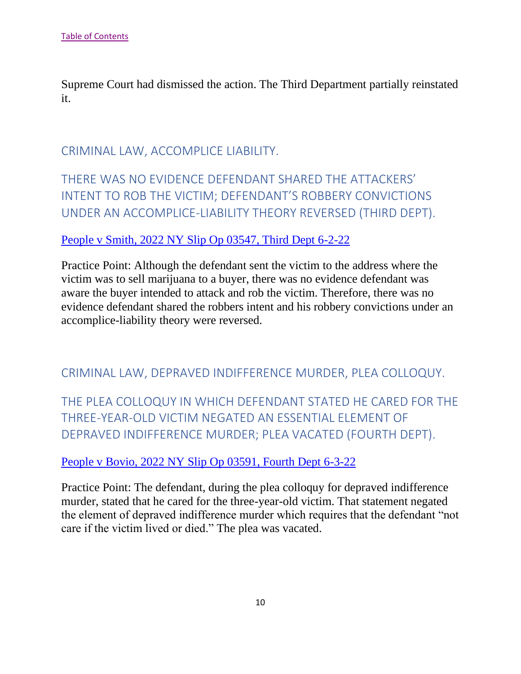Supreme Court had dismissed the action. The Third Department partially reinstated it.

# <span id="page-10-0"></span>CRIMINAL LAW, ACCOMPLICE LIABILITY.

# <span id="page-10-1"></span>THERE WAS NO EVIDENCE DEFENDANT SHARED THE ATTACKERS' INTENT TO ROB THE VICTIM; DEFENDANT'S ROBBERY CONVICTIONS UNDER AN ACCOMPLICE-LIABILITY THEORY REVERSED (THIRD DEPT).

#### [People v Smith, 2022 NY Slip Op 03547, Third Dept 6-2-22](https://nycourts.gov/reporter/3dseries/2022/2022_03547.htm)

Practice Point: Although the defendant sent the victim to the address where the victim was to sell marijuana to a buyer, there was no evidence defendant was aware the buyer intended to attack and rob the victim. Therefore, there was no evidence defendant shared the robbers intent and his robbery convictions under an accomplice-liability theory were reversed.

## <span id="page-10-2"></span>CRIMINAL LAW, DEPRAVED INDIFFERENCE MURDER, PLEA COLLOQUY.

<span id="page-10-3"></span>THE PLEA COLLOQUY IN WHICH DEFENDANT STATED HE CARED FOR THE THREE-YEAR-OLD VICTIM NEGATED AN ESSENTIAL ELEMENT OF DEPRAVED INDIFFERENCE MURDER; PLEA VACATED (FOURTH DEPT).

#### [People v Bovio, 2022 NY Slip Op 03591, Fourth Dept 6-3-22](https://nycourts.gov/reporter/3dseries/2022/2022_03591.htm)

Practice Point: The defendant, during the plea colloquy for depraved indifference murder, stated that he cared for the three-year-old victim. That statement negated the element of depraved indifference murder which requires that the defendant "not care if the victim lived or died." The plea was vacated.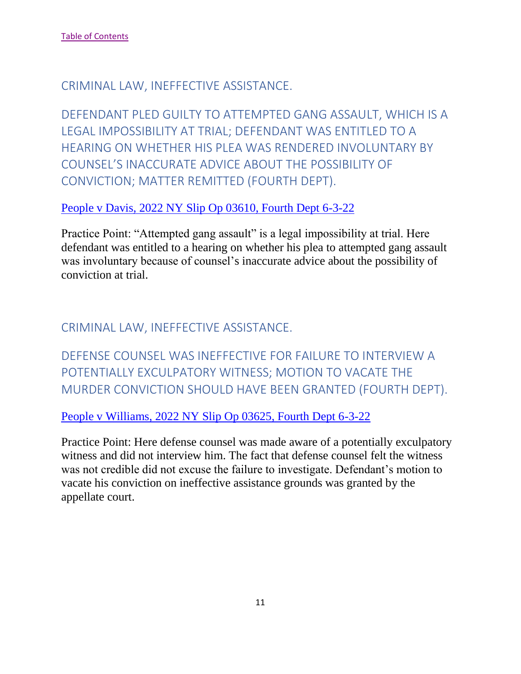#### <span id="page-11-0"></span>CRIMINAL LAW, INEFFECTIVE ASSISTANCE.

<span id="page-11-1"></span>DEFENDANT PLED GUILTY TO ATTEMPTED GANG ASSAULT, WHICH IS A LEGAL IMPOSSIBILITY AT TRIAL; DEFENDANT WAS ENTITLED TO A HEARING ON WHETHER HIS PLEA WAS RENDERED INVOLUNTARY BY COUNSEL'S INACCURATE ADVICE ABOUT THE POSSIBILITY OF CONVICTION; MATTER REMITTED (FOURTH DEPT).

#### [People v Davis, 2022 NY Slip Op 03610, Fourth Dept 6-3-22](https://nycourts.gov/reporter/3dseries/2022/2022_03610.htm)

Practice Point: "Attempted gang assault" is a legal impossibility at trial. Here defendant was entitled to a hearing on whether his plea to attempted gang assault was involuntary because of counsel's inaccurate advice about the possibility of conviction at trial.

## <span id="page-11-2"></span>CRIMINAL LAW, INEFFECTIVE ASSISTANCE.

<span id="page-11-3"></span>DEFENSE COUNSEL WAS INEFFECTIVE FOR FAILURE TO INTERVIEW A POTENTIALLY EXCULPATORY WITNESS; MOTION TO VACATE THE MURDER CONVICTION SHOULD HAVE BEEN GRANTED (FOURTH DEPT).

[People v Williams, 2022 NY Slip Op 03625, Fourth Dept 6-3-22](https://nycourts.gov/reporter/3dseries/2022/2022_03625.htm)

Practice Point: Here defense counsel was made aware of a potentially exculpatory witness and did not interview him. The fact that defense counsel felt the witness was not credible did not excuse the failure to investigate. Defendant's motion to vacate his conviction on ineffective assistance grounds was granted by the appellate court.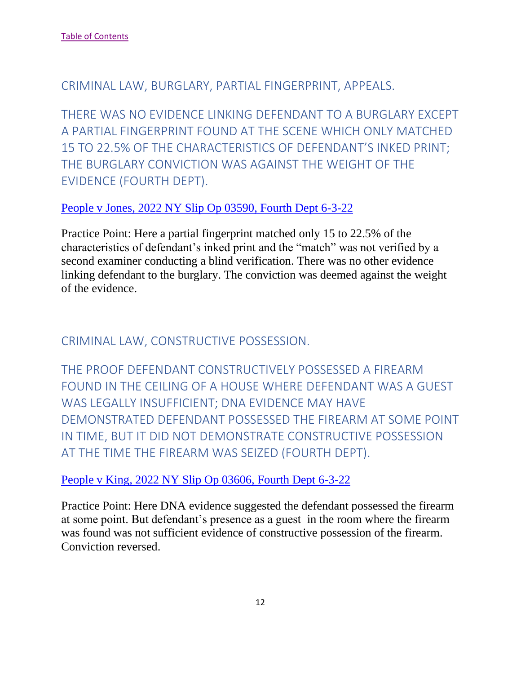<span id="page-12-0"></span>CRIMINAL LAW, BURGLARY, PARTIAL FINGERPRINT, APPEALS.

<span id="page-12-1"></span>THERE WAS NO EVIDENCE LINKING DEFENDANT TO A BURGLARY EXCEPT A PARTIAL FINGERPRINT FOUND AT THE SCENE WHICH ONLY MATCHED 15 TO 22.5% OF THE CHARACTERISTICS OF DEFENDANT'S INKED PRINT; THE BURGLARY CONVICTION WAS AGAINST THE WEIGHT OF THE EVIDENCE (FOURTH DEPT).

#### [People v Jones, 2022 NY Slip Op 03590, Fourth Dept 6-3-22](https://nycourts.gov/reporter/3dseries/2022/2022_03590.htm)

Practice Point: Here a partial fingerprint matched only 15 to 22.5% of the characteristics of defendant's inked print and the "match" was not verified by a second examiner conducting a blind verification. There was no other evidence linking defendant to the burglary. The conviction was deemed against the weight of the evidence.

<span id="page-12-2"></span>CRIMINAL LAW, CONSTRUCTIVE POSSESSION.

<span id="page-12-3"></span>THE PROOF DEFENDANT CONSTRUCTIVELY POSSESSED A FIREARM FOUND IN THE CEILING OF A HOUSE WHERE DEFENDANT WAS A GUEST WAS LEGALLY INSUFFICIENT; DNA EVIDENCE MAY HAVE DEMONSTRATED DEFENDANT POSSESSED THE FIREARM AT SOME POINT IN TIME, BUT IT DID NOT DEMONSTRATE CONSTRUCTIVE POSSESSION AT THE TIME THE FIREARM WAS SEIZED (FOURTH DEPT).

## [People v King, 2022 NY Slip Op 03606, Fourth Dept 6-3-22](https://nycourts.gov/reporter/3dseries/2022/2022_03606.htm)

Practice Point: Here DNA evidence suggested the defendant possessed the firearm at some point. But defendant's presence as a guest in the room where the firearm was found was not sufficient evidence of constructive possession of the firearm. Conviction reversed.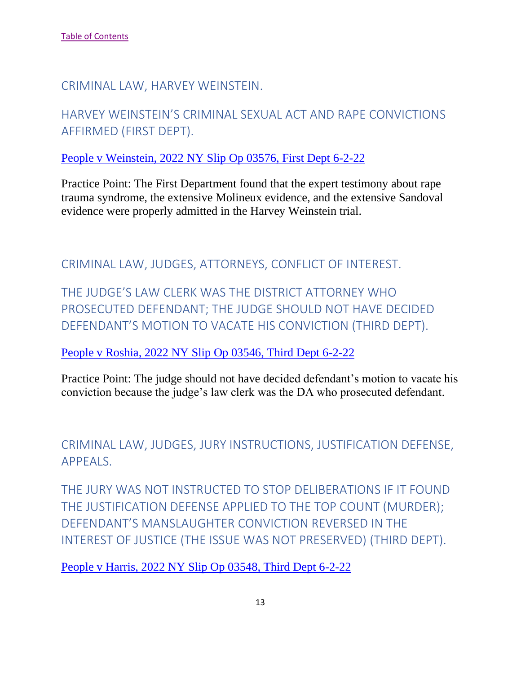<span id="page-13-0"></span>CRIMINAL LAW, HARVEY WEINSTEIN.

<span id="page-13-1"></span>HARVEY WEINSTEIN'S CRIMINAL SEXUAL ACT AND RAPE CONVICTIONS AFFIRMED (FIRST DEPT).

[People v Weinstein, 2022 NY Slip Op 03576, First Dept 6-2-22](https://nycourts.gov/reporter/3dseries/2022/2022_03576.htm)

Practice Point: The First Department found that the expert testimony about rape trauma syndrome, the extensive Molineux evidence, and the extensive Sandoval evidence were properly admitted in the Harvey Weinstein trial.

<span id="page-13-2"></span>CRIMINAL LAW, JUDGES, ATTORNEYS, CONFLICT OF INTEREST.

<span id="page-13-3"></span>THE JUDGE'S LAW CLERK WAS THE DISTRICT ATTORNEY WHO PROSECUTED DEFENDANT; THE JUDGE SHOULD NOT HAVE DECIDED DEFENDANT'S MOTION TO VACATE HIS CONVICTION (THIRD DEPT).

[People v Roshia, 2022 NY Slip Op 03546, Third Dept 6-2-22](https://nycourts.gov/reporter/3dseries/2022/2022_03546.htm)

Practice Point: The judge should not have decided defendant's motion to vacate his conviction because the judge's law clerk was the DA who prosecuted defendant.

<span id="page-13-4"></span>CRIMINAL LAW, JUDGES, JURY INSTRUCTIONS, JUSTIFICATION DEFENSE, APPEALS.

<span id="page-13-5"></span>THE JURY WAS NOT INSTRUCTED TO STOP DELIBERATIONS IF IT FOUND THE JUSTIFICATION DEFENSE APPLIED TO THE TOP COUNT (MURDER); DEFENDANT'S MANSLAUGHTER CONVICTION REVERSED IN THE INTEREST OF JUSTICE (THE ISSUE WAS NOT PRESERVED) (THIRD DEPT).

[People v Harris, 2022 NY Slip Op 03548, Third Dept 6-2-22](https://nycourts.gov/reporter/3dseries/2022/2022_03548.htm)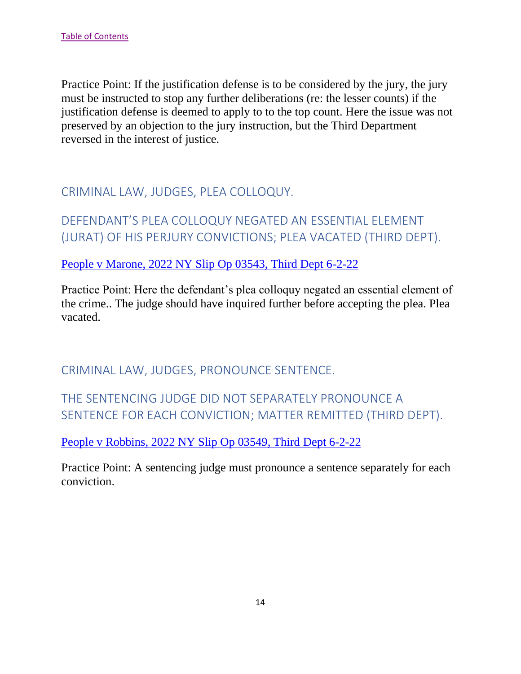Practice Point: If the justification defense is to be considered by the jury, the jury must be instructed to stop any further deliberations (re: the lesser counts) if the justification defense is deemed to apply to to the top count. Here the issue was not preserved by an objection to the jury instruction, but the Third Department reversed in the interest of justice.

<span id="page-14-0"></span>CRIMINAL LAW, JUDGES, PLEA COLLOQUY.

<span id="page-14-1"></span>DEFENDANT'S PLEA COLLOQUY NEGATED AN ESSENTIAL ELEMENT (JURAT) OF HIS PERJURY CONVICTIONS; PLEA VACATED (THIRD DEPT).

[People v Marone, 2022 NY Slip Op 03543, Third Dept 6-2-22](https://nycourts.gov/reporter/3dseries/2022/2022_03543.htm)

Practice Point: Here the defendant's plea colloquy negated an essential element of the crime.. The judge should have inquired further before accepting the plea. Plea vacated.

<span id="page-14-2"></span>CRIMINAL LAW, JUDGES, PRONOUNCE SENTENCE.

<span id="page-14-3"></span>THE SENTENCING JUDGE DID NOT SEPARATELY PRONOUNCE A SENTENCE FOR EACH CONVICTION; MATTER REMITTED (THIRD DEPT).

[People v Robbins, 2022 NY Slip Op 03549, Third Dept 6-2-22](https://nycourts.gov/reporter/3dseries/2022/2022_03549.htm)

Practice Point: A sentencing judge must pronounce a sentence separately for each conviction.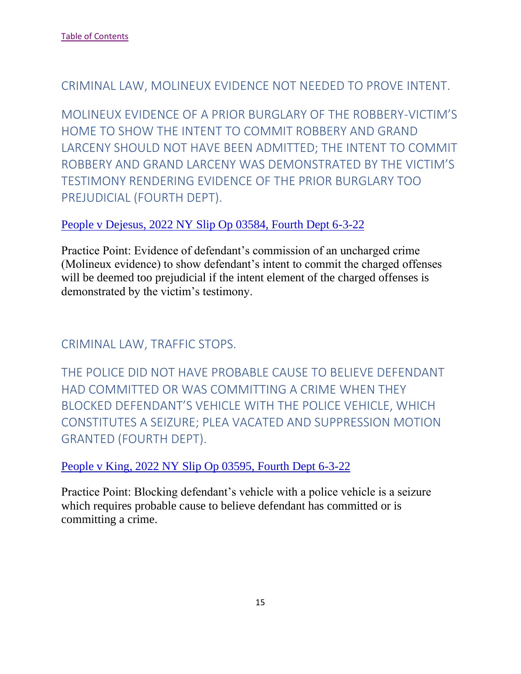# <span id="page-15-0"></span>CRIMINAL LAW, MOLINEUX EVIDENCE NOT NEEDED TO PROVE INTENT.

<span id="page-15-1"></span>MOLINEUX EVIDENCE OF A PRIOR BURGLARY OF THE ROBBERY-VICTIM'S HOME TO SHOW THE INTENT TO COMMIT ROBBERY AND GRAND LARCENY SHOULD NOT HAVE BEEN ADMITTED; THE INTENT TO COMMIT ROBBERY AND GRAND LARCENY WAS DEMONSTRATED BY THE VICTIM'S TESTIMONY RENDERING EVIDENCE OF THE PRIOR BURGLARY TOO PREJUDICIAL (FOURTH DEPT).

## [People v Dejesus, 2022 NY Slip Op 03584, Fourth Dept 6-3-22](https://nycourts.gov/reporter/3dseries/2022/2022_03584.htm)

Practice Point: Evidence of defendant's commission of an uncharged crime (Molineux evidence) to show defendant's intent to commit the charged offenses will be deemed too prejudicial if the intent element of the charged offenses is demonstrated by the victim's testimony.

<span id="page-15-2"></span>CRIMINAL LAW, TRAFFIC STOPS.

<span id="page-15-3"></span>THE POLICE DID NOT HAVE PROBABLE CAUSE TO BELIEVE DEFENDANT HAD COMMITTED OR WAS COMMITTING A CRIME WHEN THEY BLOCKED DEFENDANT'S VEHICLE WITH THE POLICE VEHICLE, WHICH CONSTITUTES A SEIZURE; PLEA VACATED AND SUPPRESSION MOTION GRANTED (FOURTH DEPT).

[People v King, 2022 NY Slip Op 03595, Fourth Dept 6-3-22](https://nycourts.gov/reporter/3dseries/2022/2022_03606.htm)

Practice Point: Blocking defendant's vehicle with a police vehicle is a seizure which requires probable cause to believe defendant has committed or is committing a crime.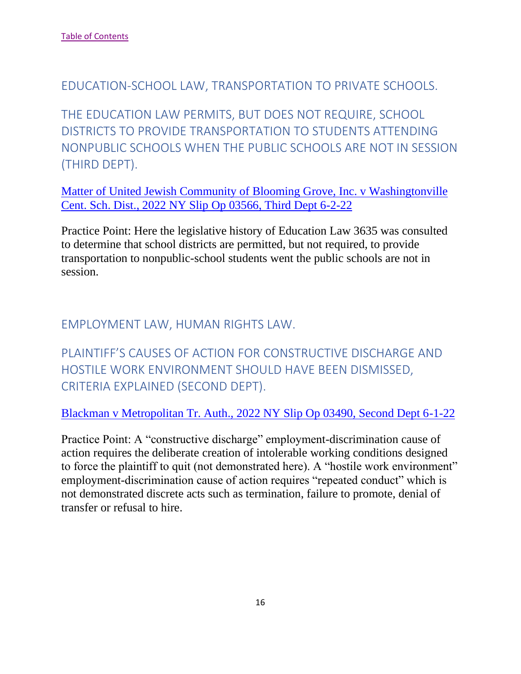<span id="page-16-0"></span>EDUCATION-SCHOOL LAW, TRANSPORTATION TO PRIVATE SCHOOLS.

<span id="page-16-1"></span>THE EDUCATION LAW PERMITS, BUT DOES NOT REQUIRE, SCHOOL DISTRICTS TO PROVIDE TRANSPORTATION TO STUDENTS ATTENDING NONPUBLIC SCHOOLS WHEN THE PUBLIC SCHOOLS ARE NOT IN SESSION (THIRD DEPT).

[Matter of United Jewish Community of Blooming Grove, Inc. v Washingtonville](https://nycourts.gov/reporter/3dseries/2022/2022_03566.htm)  [Cent. Sch. Dist., 2022 NY Slip Op 03566, Third Dept 6-2-22](https://nycourts.gov/reporter/3dseries/2022/2022_03566.htm)

Practice Point: Here the legislative history of Education Law 3635 was consulted to determine that school districts are permitted, but not required, to provide transportation to nonpublic-school students went the public schools are not in session.

# <span id="page-16-2"></span>EMPLOYMENT LAW, HUMAN RIGHTS LAW.

<span id="page-16-3"></span>PLAINTIFF'S CAUSES OF ACTION FOR CONSTRUCTIVE DISCHARGE AND HOSTILE WORK ENVIRONMENT SHOULD HAVE BEEN DISMISSED, CRITERIA EXPLAINED (SECOND DEPT).

[Blackman v Metropolitan Tr. Auth., 2022 NY Slip Op 03490, Second Dept 6-1-22](https://nycourts.gov/reporter/3dseries/2022/2022_03490.htm)

Practice Point: A "constructive discharge" employment-discrimination cause of action requires the deliberate creation of intolerable working conditions designed to force the plaintiff to quit (not demonstrated here). A "hostile work environment" employment-discrimination cause of action requires "repeated conduct" which is not demonstrated discrete acts such as termination, failure to promote, denial of transfer or refusal to hire.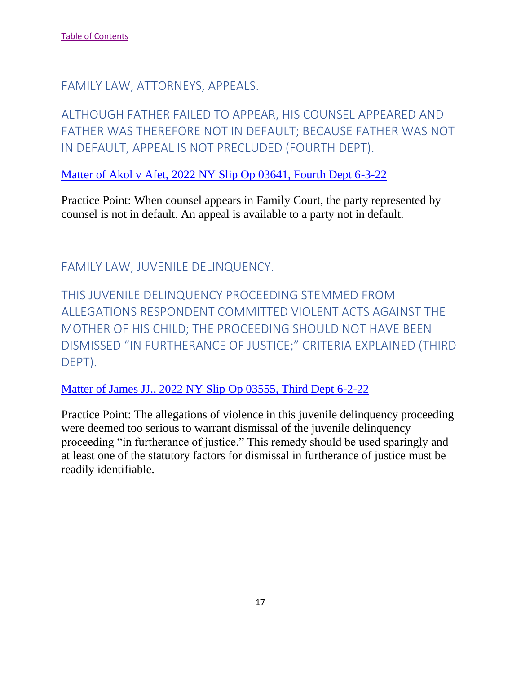<span id="page-17-0"></span>FAMILY LAW, ATTORNEYS, APPEALS.

<span id="page-17-1"></span>ALTHOUGH FATHER FAILED TO APPEAR, HIS COUNSEL APPEARED AND FATHER WAS THEREFORE NOT IN DEFAULT; BECAUSE FATHER WAS NOT IN DEFAULT, APPEAL IS NOT PRECLUDED (FOURTH DEPT).

[Matter of Akol v Afet, 2022 NY Slip Op 03641, Fourth Dept 6-3-22](https://nycourts.gov/reporter/3dseries/2022/2022_03641.htm)

Practice Point: When counsel appears in Family Court, the party represented by counsel is not in default. An appeal is available to a party not in default.

<span id="page-17-2"></span>FAMILY LAW, JUVENILE DELINQUENCY.

<span id="page-17-3"></span>THIS JUVENILE DELINQUENCY PROCEEDING STEMMED FROM ALLEGATIONS RESPONDENT COMMITTED VIOLENT ACTS AGAINST THE MOTHER OF HIS CHILD; THE PROCEEDING SHOULD NOT HAVE BEEN DISMISSED "IN FURTHERANCE OF JUSTICE;" CRITERIA EXPLAINED (THIRD DEPT).

[Matter of James JJ., 2022 NY Slip](https://nycourts.gov/reporter/3dseries/2022/2022_03555.htm) Op 03555, Third Dept 6-2-22

Practice Point: The allegations of violence in this juvenile delinquency proceeding were deemed too serious to warrant dismissal of the juvenile delinquency proceeding "in furtherance of justice." This remedy should be used sparingly and at least one of the statutory factors for dismissal in furtherance of justice must be readily identifiable.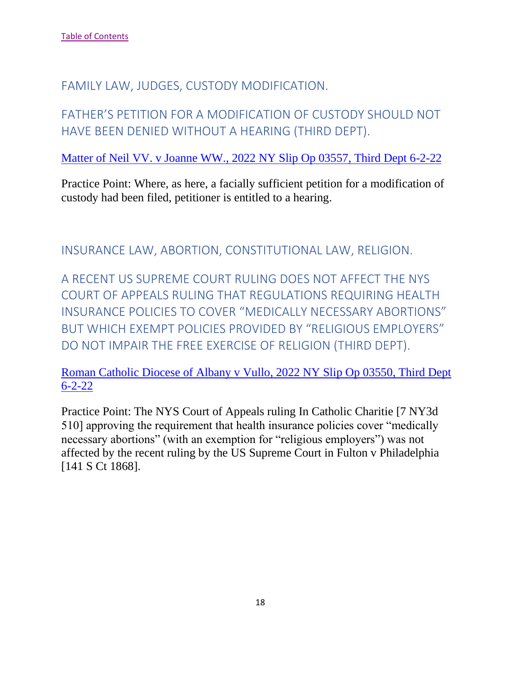<span id="page-18-0"></span>FAMILY LAW, JUDGES, CUSTODY MODIFICATION.

<span id="page-18-1"></span>FATHER'S PETITION FOR A MODIFICATION OF CUSTODY SHOULD NOT HAVE BEEN DENIED WITHOUT A HEARING (THIRD DEPT).

[Matter of Neil VV. v Joanne WW., 2022 NY Slip Op 03557, Third Dept 6-2-22](https://nycourts.gov/reporter/3dseries/2022/2022_03557.htm)

Practice Point: Where, as here, a facially sufficient petition for a modification of custody had been filed, petitioner is entitled to a hearing.

<span id="page-18-2"></span>INSURANCE LAW, ABORTION, CONSTITUTIONAL LAW, RELIGION.

<span id="page-18-3"></span>A RECENT US SUPREME COURT RULING DOES NOT AFFECT THE NYS COURT OF APPEALS RULING THAT REGULATIONS REQUIRING HEALTH INSURANCE POLICIES TO COVER "MEDICALLY NECESSARY ABORTIONS" BUT WHICH EXEMPT POLICIES PROVIDED BY "RELIGIOUS EMPLOYERS" DO NOT IMPAIR THE FREE EXERCISE OF RELIGION (THIRD DEPT).

[Roman Catholic Diocese of Albany v Vullo, 2022 NY Slip Op 03550, Third Dept](https://nycourts.gov/reporter/3dseries/2022/2022_03550.htm)  [6-2-22](https://nycourts.gov/reporter/3dseries/2022/2022_03550.htm)

Practice Point: The NYS Court of Appeals ruling In Catholic Charitie [7 NY3d 510] approving the requirement that health insurance policies cover "medically necessary abortions" (with an exemption for "religious employers") was not affected by the recent ruling by the US Supreme Court in Fulton v Philadelphia [141 S Ct 1868].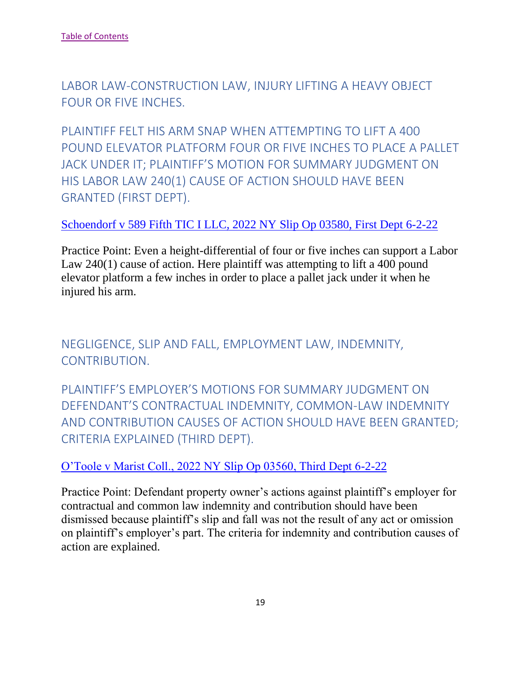<span id="page-19-0"></span>LABOR LAW-CONSTRUCTION LAW, INJURY LIFTING A HEAVY OBJECT FOUR OR FIVE INCHES.

<span id="page-19-1"></span>PLAINTIFF FELT HIS ARM SNAP WHEN ATTEMPTING TO LIFT A 400 POUND ELEVATOR PLATFORM FOUR OR FIVE INCHES TO PLACE A PALLET JACK UNDER IT; PLAINTIFF'S MOTION FOR SUMMARY JUDGMENT ON HIS LABOR LAW 240(1) CAUSE OF ACTION SHOULD HAVE BEEN GRANTED (FIRST DEPT).

# [Schoendorf v 589 Fifth TIC I LLC, 2022 NY Slip Op 03580, First Dept 6-2-22](https://nycourts.gov/reporter/3dseries/2022/2022_03580.htm)

Practice Point: Even a height-differential of four or five inches can support a Labor Law 240(1) cause of action. Here plaintiff was attempting to lift a 400 pound elevator platform a few inches in order to place a pallet jack under it when he injured his arm.

<span id="page-19-2"></span>NEGLIGENCE, SLIP AND FALL, EMPLOYMENT LAW, INDEMNITY, CONTRIBUTION.

<span id="page-19-3"></span>PLAINTIFF'S EMPLOYER'S MOTIONS FOR SUMMARY JUDGMENT ON DEFENDANT'S CONTRACTUAL INDEMNITY, COMMON-LAW INDEMNITY AND CONTRIBUTION CAUSES OF ACTION SHOULD HAVE BEEN GRANTED; CRITERIA EXPLAINED (THIRD DEPT).

## [O'Toole v Marist Coll., 2022 NY Slip Op 03560, Third Dept 6-2-22](https://nycourts.gov/reporter/3dseries/2022/2022_03560.htm)

Practice Point: Defendant property owner's actions against plaintiff's employer for contractual and common law indemnity and contribution should have been dismissed because plaintiff's slip and fall was not the result of any act or omission on plaintiff's employer's part. The criteria for indemnity and contribution causes of action are explained.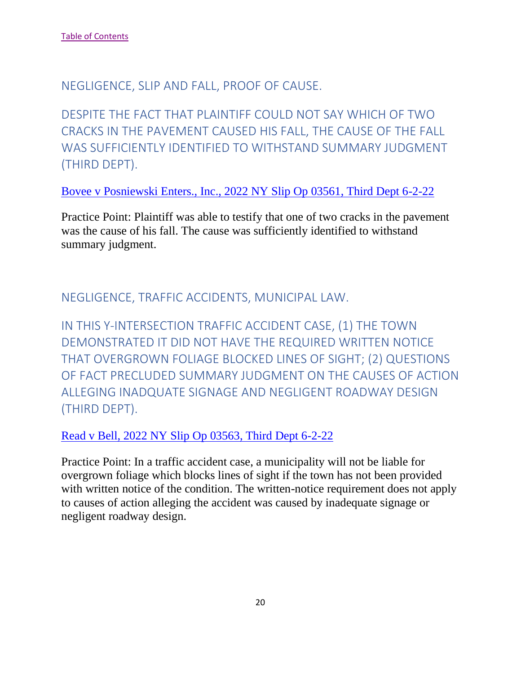<span id="page-20-0"></span>NEGLIGENCE, SLIP AND FALL, PROOF OF CAUSE.

<span id="page-20-1"></span>DESPITE THE FACT THAT PLAINTIFF COULD NOT SAY WHICH OF TWO CRACKS IN THE PAVEMENT CAUSED HIS FALL, THE CAUSE OF THE FALL WAS SUFFICIENTLY IDENTIFIED TO WITHSTAND SUMMARY JUDGMENT (THIRD DEPT).

[Bovee v Posniewski Enters., Inc., 2022 NY Slip Op 03561, Third Dept 6-2-22](https://nycourts.gov/reporter/3dseries/2022/2022_03561.htm)

Practice Point: Plaintiff was able to testify that one of two cracks in the pavement was the cause of his fall. The cause was sufficiently identified to withstand summary judgment.

<span id="page-20-2"></span>NEGLIGENCE, TRAFFIC ACCIDENTS, MUNICIPAL LAW.

<span id="page-20-3"></span>IN THIS Y-INTERSECTION TRAFFIC ACCIDENT CASE, (1) THE TOWN DEMONSTRATED IT DID NOT HAVE THE REQUIRED WRITTEN NOTICE THAT OVERGROWN FOLIAGE BLOCKED LINES OF SIGHT; (2) QUESTIONS OF FACT PRECLUDED SUMMARY JUDGMENT ON THE CAUSES OF ACTION ALLEGING INADQUATE SIGNAGE AND NEGLIGENT ROADWAY DESIGN (THIRD DEPT).

[Read v Bell, 2022 NY Slip Op 03563, Third Dept 6-2-22](https://nycourts.gov/reporter/3dseries/2022/2022_03563.htm)

Practice Point: In a traffic accident case, a municipality will not be liable for overgrown foliage which blocks lines of sight if the town has not been provided with written notice of the condition. The written-notice requirement does not apply to causes of action alleging the accident was caused by inadequate signage or negligent roadway design.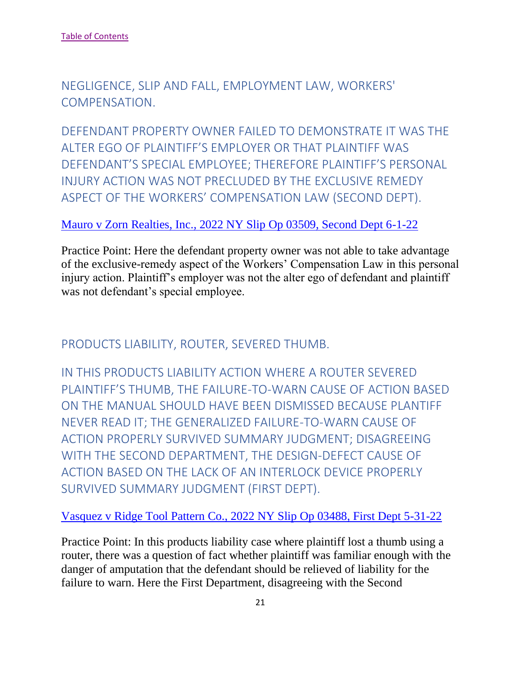<span id="page-21-0"></span>NEGLIGENCE, SLIP AND FALL, EMPLOYMENT LAW, WORKERS' COMPENSATION.

<span id="page-21-1"></span>DEFENDANT PROPERTY OWNER FAILED TO DEMONSTRATE IT WAS THE ALTER EGO OF PLAINTIFF'S EMPLOYER OR THAT PLAINTIFF WAS DEFENDANT'S SPECIAL EMPLOYEE; THEREFORE PLAINTIFF'S PERSONAL INJURY ACTION WAS NOT PRECLUDED BY THE EXCLUSIVE REMEDY ASPECT OF THE WORKERS' COMPENSATION LAW (SECOND DEPT).

#### Mauro v Zorn Realties, Inc., 2022 NY Slip Op 03509, Second Dept 6-1-22

Practice Point: Here the defendant property owner was not able to take advantage of the exclusive-remedy aspect of the Workers' Compensation Law in this personal injury action. Plaintiff's employer was not the alter ego of defendant and plaintiff was not defendant's special employee.

<span id="page-21-2"></span>PRODUCTS LIABILITY, ROUTER, SEVERED THUMB.

<span id="page-21-3"></span>IN THIS PRODUCTS LIABILITY ACTION WHERE A ROUTER SEVERED PLAINTIFF'S THUMB, THE FAILURE-TO-WARN CAUSE OF ACTION BASED ON THE MANUAL SHOULD HAVE BEEN DISMISSED BECAUSE PLANTIFF NEVER READ IT; THE GENERALIZED FAILURE-TO-WARN CAUSE OF ACTION PROPERLY SURVIVED SUMMARY JUDGMENT; DISAGREEING WITH THE SECOND DEPARTMENT, THE DESIGN-DEFECT CAUSE OF ACTION BASED ON THE LACK OF AN INTERLOCK DEVICE PROPERLY SURVIVED SUMMARY JUDGMENT (FIRST DEPT).

#### Vasquez v Ridge Tool Pattern Co., 2022 NY Slip Op 03488, First Dept 5-31-22

Practice Point: In this products liability case where plaintiff lost a thumb using a router, there was a question of fact whether plaintiff was familiar enough with the danger of amputation that the defendant should be relieved of liability for the failure to warn. Here the First Department, disagreeing with the Second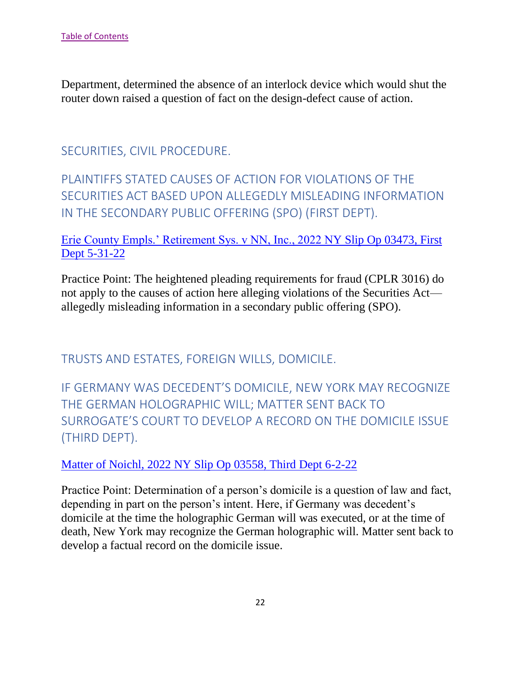Department, determined the absence of an interlock device which would shut the router down raised a question of fact on the design-defect cause of action.

# <span id="page-22-0"></span>SECURITIES, CIVIL PROCEDURE.

# <span id="page-22-1"></span>PLAINTIFFS STATED CAUSES OF ACTION FOR VIOLATIONS OF THE SECURITIES ACT BASED UPON ALLEGEDLY MISLEADING INFORMATION IN THE SECONDARY PUBLIC OFFERING (SPO) (FIRST DEPT).

#### Erie County Empls.' Retirement Sys. v NN, Inc., 2022 NY Slip Op 03473, First Dept 5-31-22

Practice Point: The heightened pleading requirements for fraud (CPLR 3016) do not apply to the causes of action here alleging violations of the Securities Act allegedly misleading information in a secondary public offering (SPO).

<span id="page-22-2"></span>TRUSTS AND ESTATES, FOREIGN WILLS, DOMICILE.

<span id="page-22-3"></span>IF GERMANY WAS DECEDENT'S DOMICILE, NEW YORK MAY RECOGNIZE THE GERMAN HOLOGRAPHIC WILL; MATTER SENT BACK TO SURROGATE'S COURT TO DEVELOP A RECORD ON THE DOMICILE ISSUE (THIRD DEPT).

Matter of Noichl, 2022 NY Slip Op 03558, Third Dept 6-2-22

Practice Point: Determination of a person's domicile is a question of law and fact, depending in part on the person's intent. Here, if Germany was decedent's domicile at the time the holographic German will was executed, or at the time of death, New York may recognize the German holographic will. Matter sent back to develop a factual record on the domicile issue.